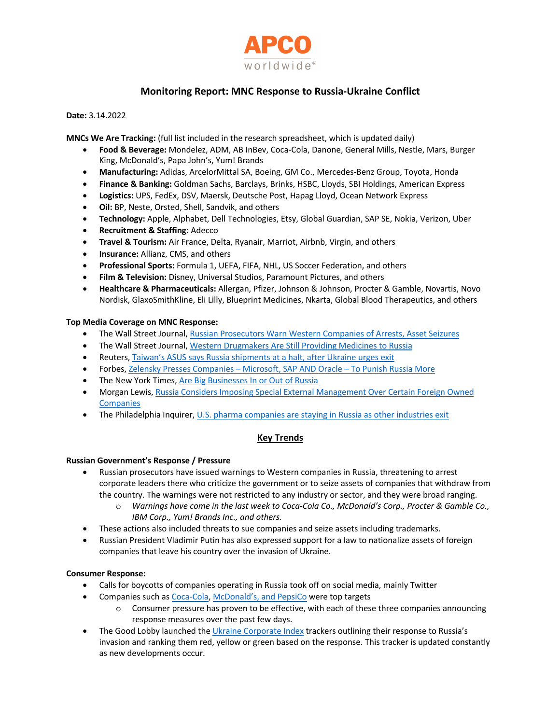

# **Monitoring Report: MNC Response to Russia-Ukraine Conflict**

### **Date:** 3.14.2022

**MNCs We Are Tracking:** (full list included in the research spreadsheet, which is updated daily)

- **Food & Beverage:** Mondelez, ADM, AB InBev, Coca-Cola, Danone, General Mills, Nestle, Mars, Burger King, McDonald's, Papa John's, Yum! Brands
- **Manufacturing:** Adidas, ArcelorMittal SA, Boeing, GM Co., Mercedes-Benz Group, Toyota, Honda
- **Finance & Banking:** Goldman Sachs, Barclays, Brinks, HSBC, Lloyds, SBI Holdings, American Express
- **Logistics:** UPS, FedEx, DSV, Maersk, Deutsche Post, Hapag Lloyd, Ocean Network Express
- **Oil:** BP, Neste, Orsted, Shell, Sandvik, and others
- **Technology:** Apple, Alphabet, Dell Technologies, Etsy, Global Guardian, SAP SE, Nokia, Verizon, Uber
- **Recruitment & Staffing:** Adecco
- **Travel & Tourism:** Air France, Delta, Ryanair, Marriot, Airbnb, Virgin, and others
- **Insurance:** Allianz, CMS, and others
- **Professional Sports:** Formula 1, UEFA, FIFA, NHL, US Soccer Federation, and others
- **Film & Television:** Disney, Universal Studios, Paramount Pictures, and others
- **Healthcare & Pharmaceuticals:** Allergan, Pfizer, Johnson & Johnson, Procter & Gamble, Novartis, Novo Nordisk, GlaxoSmithKline, Eli Lilly, Blueprint Medicines, Nkarta, Global Blood Therapeutics, and others

### **Top Media Coverage on MNC Response:**

- The Wall Street Journal, Russian Prosecutors Warn Western Companies of Arrests, Asset Seizures
- The Wall Street Journal, Western Drugmakers Are Still Providing Medicines to Russia
- Reuters, Taiwan's ASUS says Russia shipments at a halt, after Ukraine urges exit
- Forbes, Zelensky Presses Companies Microsoft, SAP AND Oracle To Punish Russia More
- The New York Times, Are Big Businesses In or Out of Russia
- Morgan Lewis, Russia Considers Imposing Special External Management Over Certain Foreign Owned Companies
- The Philadelphia Inquirer, U.S. pharma companies are staying in Russia as other industries exit

# **Key Trends**

# **Russian Government's Response / Pressure**

- Russian prosecutors have issued warnings to Western companies in Russia, threatening to arrest corporate leaders there who criticize the government or to seize assets of companies that withdraw from the country. The warnings were not restricted to any industry or sector, and they were broad ranging.
	- o *Warnings have come in the last week to Coca-Cola Co., McDonald's Corp., Procter & Gamble Co., IBM Corp., Yum! Brands Inc., and others.*
- These actions also included threats to sue companies and seize assets including trademarks.
- Russian President Vladimir Putin has also expressed support for a law to nationalize assets of foreign companies that leave his country over the invasion of Ukraine.

# **Consumer Response:**

- Calls for boycotts of companies operating in Russia took off on social media, mainly Twitter
- Companies such as Coca-Cola, McDonald's, and PepsiCo were top targets
	- $\circ$  Consumer pressure has proven to be effective, with each of these three companies announcing response measures over the past few days.
- The Good Lobby launched the Ukraine Corporate Index trackers outlining their response to Russia's invasion and ranking them red, yellow or green based on the response. This tracker is updated constantly as new developments occur.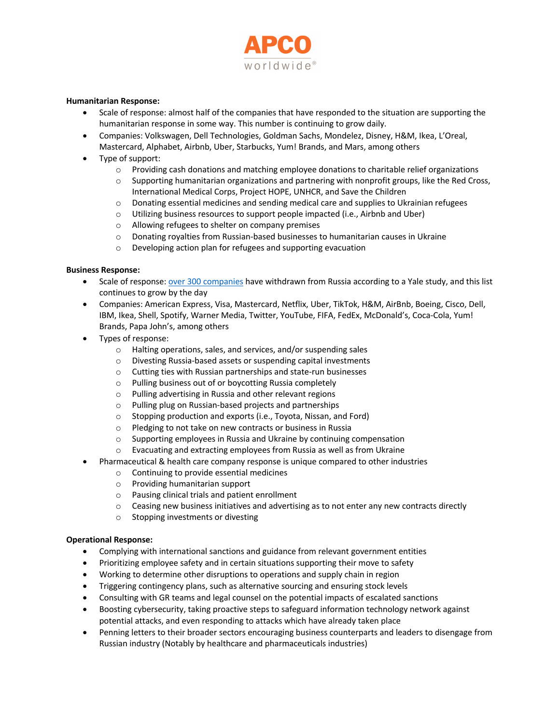

### **Humanitarian Response:**

- Scale of response: almost half of the companies that have responded to the situation are supporting the humanitarian response in some way. This number is continuing to grow daily.
- Companies: Volkswagen, Dell Technologies, Goldman Sachs, Mondelez, Disney, H&M, Ikea, L'Oreal, Mastercard, Alphabet, Airbnb, Uber, Starbucks, Yum! Brands, and Mars, among others
- Type of support:
	- o Providing cash donations and matching employee donations to charitable relief organizations
	- $\circ$  Supporting humanitarian organizations and partnering with nonprofit groups, like the Red Cross, International Medical Corps, Project HOPE, UNHCR, and Save the Children
	- $\circ$  Donating essential medicines and sending medical care and supplies to Ukrainian refugees
	- o Utilizing business resources to support people impacted (i.e., Airbnb and Uber)
	- o Allowing refugees to shelter on company premises
	- o Donating royalties from Russian-based businesses to humanitarian causes in Ukraine
	- o Developing action plan for refugees and supporting evacuation

#### **Business Response:**

- Scale of response: over 300 companies have withdrawn from Russia according to a Yale study, and this list continues to grow by the day
- Companies: American Express, Visa, Mastercard, Netflix, Uber, TikTok, H&M, AirBnb, Boeing, Cisco, Dell, IBM, Ikea, Shell, Spotify, Warner Media, Twitter, YouTube, FIFA, FedEx, McDonald's, Coca-Cola, Yum! Brands, Papa John's, among others
- Types of response:
	- o Halting operations, sales, and services, and/or suspending sales
	- o Divesting Russia-based assets or suspending capital investments
	- o Cutting ties with Russian partnerships and state-run businesses
	- o Pulling business out of or boycotting Russia completely
	- o Pulling advertising in Russia and other relevant regions
	- o Pulling plug on Russian-based projects and partnerships
	- o Stopping production and exports (i.e., Toyota, Nissan, and Ford)
	- o Pledging to not take on new contracts or business in Russia
	- o Supporting employees in Russia and Ukraine by continuing compensation
	- o Evacuating and extracting employees from Russia as well as from Ukraine
- Pharmaceutical & health care company response is unique compared to other industries
	- o Continuing to provide essential medicines
	- o Providing humanitarian support
	- o Pausing clinical trials and patient enrollment
	- $\circ$  Ceasing new business initiatives and advertising as to not enter any new contracts directly
	- o Stopping investments or divesting

#### **Operational Response:**

- Complying with international sanctions and guidance from relevant government entities
- Prioritizing employee safety and in certain situations supporting their move to safety
- Working to determine other disruptions to operations and supply chain in region
- Triggering contingency plans, such as alternative sourcing and ensuring stock levels
- Consulting with GR teams and legal counsel on the potential impacts of escalated sanctions
- Boosting cybersecurity, taking proactive steps to safeguard information technology network against potential attacks, and even responding to attacks which have already taken place
- Penning letters to their broader sectors encouraging business counterparts and leaders to disengage from Russian industry (Notably by healthcare and pharmaceuticals industries)